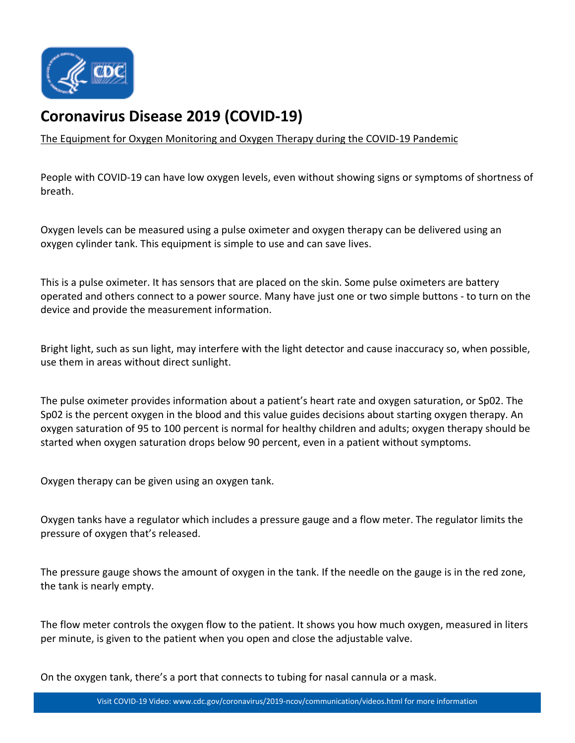

## **[Coronavirus Disease 2019 \(COVID-19\)](https://www.cdc.gov/coronavirus/2019-nCoV/index.html)**

[The Equipment for Oxygen Monitoring and Oxygen Therapy during the COVID-19 Pandemic](https://www.youtube.com/watch?v=ujjvZxdsKDk)

People with COVID-19 can have low oxygen levels, even without showing signs or symptoms of shortness of breath.

Oxygen levels can be measured using a pulse oximeter and oxygen therapy can be delivered using an oxygen cylinder tank. This equipment is simple to use and can save lives.

This is a pulse oximeter. It has sensors that are placed on the skin. Some pulse oximeters are battery operated and others connect to a power source. Many have just one or two simple buttons - to turn on the device and provide the measurement information.

Bright light, such as sun light, may interfere with the light detector and cause inaccuracy so, when possible, use them in areas without direct sunlight.

The pulse oximeter provides information about a patient's heart rate and oxygen saturation, or Sp02. The Sp02 is the percent oxygen in the blood and this value guides decisions about starting oxygen therapy. An oxygen saturation of 95 to 100 percent is normal for healthy children and adults; oxygen therapy should be started when oxygen saturation drops below 90 percent, even in a patient without symptoms.

Oxygen therapy can be given using an oxygen tank.

Oxygen tanks have a regulator which includes a pressure gauge and a flow meter. The regulator limits the pressure of oxygen that's released.

The pressure gauge shows the amount of oxygen in the tank. If the needle on the gauge is in the red zone, the tank is nearly empty.

The flow meter controls the oxygen flow to the patient. It shows you how much oxygen, measured in liters per minute, is given to the patient when you open and close the adjustable valve.

On the oxygen tank, there's a port that connects to tubing for nasal cannula or a mask.